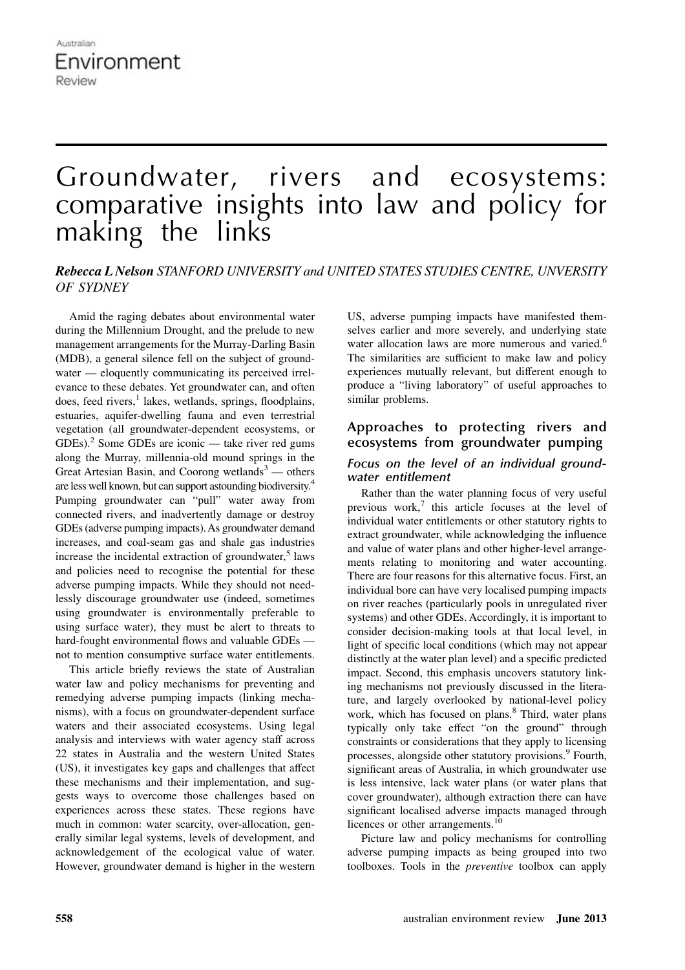# Groundwater, rivers and ecosystems: comparative insights into law and policy for making the links

# Rebecca L Nelson STANFORD UNIVERSITY and UNITED STATES STUDIES CENTRE, UNVERSITY OF SYDNEY

Amid the raging debates about environmental water during the Millennium Drought, and the prelude to new management arrangements for the Murray-Darling Basin (MDB), a general silence fell on the subject of groundwater — eloquently communicating its perceived irrelevance to these debates. Yet groundwater can, and often does, feed rivers,<sup>1</sup> lakes, wetlands, springs, floodplains, estuaries, aquifer-dwelling fauna and even terrestrial vegetation (all groundwater-dependent ecosystems, or GDEs).<sup>2</sup> Some GDEs are iconic — take river red gums along the Murray, millennia-old mound springs in the Great Artesian Basin, and Coorong wetlands<sup>3</sup> — others are less well known, but can support astounding biodiversity.<sup>4</sup> Pumping groundwater can "pull" water away from connected rivers, and inadvertently damage or destroy GDEs (adverse pumping impacts). As groundwater demand increases, and coal-seam gas and shale gas industries increase the incidental extraction of groundwater,<sup>5</sup> laws and policies need to recognise the potential for these adverse pumping impacts. While they should not needlessly discourage groundwater use (indeed, sometimes using groundwater is environmentally preferable to using surface water), they must be alert to threats to hard-fought environmental flows and valuable GDEs not to mention consumptive surface water entitlements.

This article briefly reviews the state of Australian water law and policy mechanisms for preventing and remedying adverse pumping impacts (linking mechanisms), with a focus on groundwater-dependent surface waters and their associated ecosystems. Using legal analysis and interviews with water agency staff across 22 states in Australia and the western United States (US), it investigates key gaps and challenges that affect these mechanisms and their implementation, and suggests ways to overcome those challenges based on experiences across these states. These regions have much in common: water scarcity, over-allocation, generally similar legal systems, levels of development, and acknowledgement of the ecological value of water. However, groundwater demand is higher in the western

US, adverse pumping impacts have manifested themselves earlier and more severely, and underlying state water allocation laws are more numerous and varied.<sup>6</sup> The similarities are sufficient to make law and policy experiences mutually relevant, but different enough to produce a "living laboratory" of useful approaches to similar problems.

### **Approaches to protecting rivers and ecosystems from groundwater pumping**

#### *Focus on the level of an individual groundwater entitlement*

Rather than the water planning focus of very useful previous work,<sup>7</sup> this article focuses at the level of individual water entitlements or other statutory rights to extract groundwater, while acknowledging the influence and value of water plans and other higher-level arrangements relating to monitoring and water accounting. There are four reasons for this alternative focus. First, an individual bore can have very localised pumping impacts on river reaches (particularly pools in unregulated river systems) and other GDEs. Accordingly, it is important to consider decision-making tools at that local level, in light of specific local conditions (which may not appear distinctly at the water plan level) and a specific predicted impact. Second, this emphasis uncovers statutory linking mechanisms not previously discussed in the literature, and largely overlooked by national-level policy work, which has focused on plans.<sup>8</sup> Third, water plans typically only take effect "on the ground" through constraints or considerations that they apply to licensing processes, alongside other statutory provisions.<sup>9</sup> Fourth, significant areas of Australia, in which groundwater use is less intensive, lack water plans (or water plans that cover groundwater), although extraction there can have significant localised adverse impacts managed through licences or other arrangements.<sup>10</sup>

Picture law and policy mechanisms for controlling adverse pumping impacts as being grouped into two toolboxes. Tools in the preventive toolbox can apply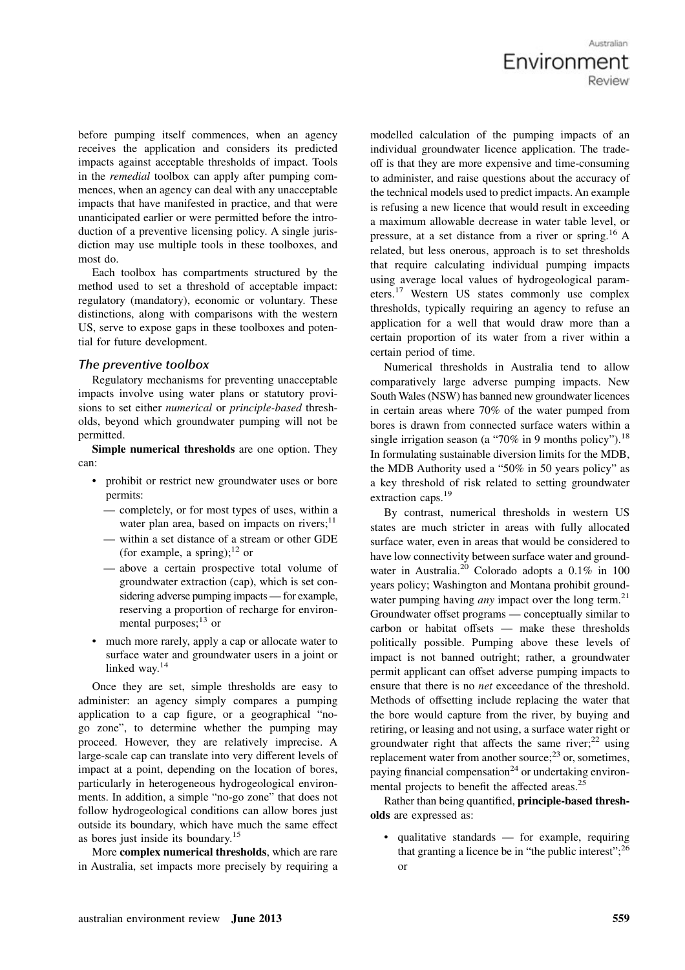Australian Environment

before pumping itself commences, when an agency receives the application and considers its predicted impacts against acceptable thresholds of impact. Tools in the remedial toolbox can apply after pumping commences, when an agency can deal with any unacceptable impacts that have manifested in practice, and that were unanticipated earlier or were permitted before the introduction of a preventive licensing policy. A single jurisdiction may use multiple tools in these toolboxes, and most do.

Each toolbox has compartments structured by the method used to set a threshold of acceptable impact: regulatory (mandatory), economic or voluntary. These distinctions, along with comparisons with the western US, serve to expose gaps in these toolboxes and potential for future development.

#### *The preventive toolbox*

Regulatory mechanisms for preventing unacceptable impacts involve using water plans or statutory provisions to set either numerical or principle-based thresholds, beyond which groundwater pumping will not be permitted.

Simple numerical thresholds are one option. They can:

- prohibit or restrict new groundwater uses or bore permits:
	- completely, or for most types of uses, within a water plan area, based on impacts on rivers; $<sup>11</sup>$ </sup>
	- within a set distance of a stream or other GDE (for example, a spring);  $^{12}$  or
	- above a certain prospective total volume of groundwater extraction (cap), which is set considering adverse pumping impacts — for example, reserving a proportion of recharge for environmental purposes;<sup>13</sup> or
- much more rarely, apply a cap or allocate water to surface water and groundwater users in a joint or linked way.<sup>14</sup>

Once they are set, simple thresholds are easy to administer: an agency simply compares a pumping application to a cap figure, or a geographical "nogo zone", to determine whether the pumping may proceed. However, they are relatively imprecise. A large-scale cap can translate into very different levels of impact at a point, depending on the location of bores, particularly in heterogeneous hydrogeological environments. In addition, a simple "no-go zone" that does not follow hydrogeological conditions can allow bores just outside its boundary, which have much the same effect as bores just inside its boundary.<sup>15</sup>

More complex numerical thresholds, which are rare in Australia, set impacts more precisely by requiring a modelled calculation of the pumping impacts of an individual groundwater licence application. The tradeoff is that they are more expensive and time-consuming to administer, and raise questions about the accuracy of the technical models used to predict impacts. An example is refusing a new licence that would result in exceeding a maximum allowable decrease in water table level, or pressure, at a set distance from a river or spring.<sup>16</sup> A related, but less onerous, approach is to set thresholds that require calculating individual pumping impacts using average local values of hydrogeological parameters.<sup>17</sup> Western US states commonly use complex thresholds, typically requiring an agency to refuse an application for a well that would draw more than a certain proportion of its water from a river within a certain period of time.

Numerical thresholds in Australia tend to allow comparatively large adverse pumping impacts. New South Wales (NSW) has banned new groundwater licences in certain areas where 70% of the water pumped from bores is drawn from connected surface waters within a single irrigation season (a "70% in 9 months policy").<sup>18</sup> In formulating sustainable diversion limits for the MDB, the MDB Authority used a "50% in 50 years policy" as a key threshold of risk related to setting groundwater extraction caps.<sup>19</sup>

By contrast, numerical thresholds in western US states are much stricter in areas with fully allocated surface water, even in areas that would be considered to have low connectivity between surface water and groundwater in Australia.<sup>20</sup> Colorado adopts a 0.1% in 100 years policy; Washington and Montana prohibit groundwater pumping having *any* impact over the long term.<sup>21</sup> Groundwater offset programs — conceptually similar to carbon or habitat offsets — make these thresholds politically possible. Pumping above these levels of impact is not banned outright; rather, a groundwater permit applicant can offset adverse pumping impacts to ensure that there is no net exceedance of the threshold. Methods of offsetting include replacing the water that the bore would capture from the river, by buying and retiring, or leasing and not using, a surface water right or groundwater right that affects the same river; $^{22}$  using replacement water from another source;<sup>23</sup> or, sometimes, paying financial compensation<sup>24</sup> or undertaking environmental projects to benefit the affected areas.<sup>25</sup>

Rather than being quantified, principle-based thresholds are expressed as:

• qualitative standards — for example, requiring that granting a licence be in "the public interest": $^{26}$ or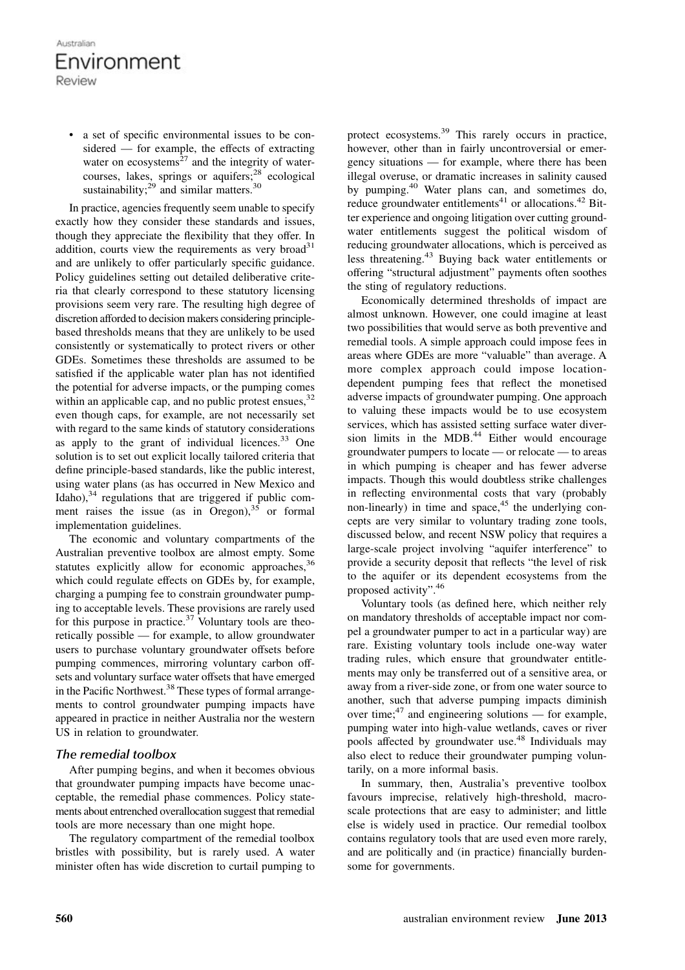a set of specific environmental issues to be considered — for example, the effects of extracting water on ecosystems $^{27}$  and the integrity of watercourses, lakes, springs or aquifers;<sup>28</sup> ecological sustainability; $^{29}$  and similar matters.<sup>30</sup>

In practice, agencies frequently seem unable to specify exactly how they consider these standards and issues, though they appreciate the flexibility that they offer. In addition, courts view the requirements as very broad<sup>31</sup> and are unlikely to offer particularly specific guidance. Policy guidelines setting out detailed deliberative criteria that clearly correspond to these statutory licensing provisions seem very rare. The resulting high degree of discretion afforded to decision makers considering principlebased thresholds means that they are unlikely to be used consistently or systematically to protect rivers or other GDEs. Sometimes these thresholds are assumed to be satisfied if the applicable water plan has not identified the potential for adverse impacts, or the pumping comes within an applicable cap, and no public protest ensues,  $32$ even though caps, for example, are not necessarily set with regard to the same kinds of statutory considerations as apply to the grant of individual licences. $33$  One solution is to set out explicit locally tailored criteria that define principle-based standards, like the public interest, using water plans (as has occurred in New Mexico and Idaho), $34$  regulations that are triggered if public comment raises the issue (as in Oregon),  $35$  or formal implementation guidelines.

The economic and voluntary compartments of the Australian preventive toolbox are almost empty. Some statutes explicitly allow for economic approaches,  $36$ which could regulate effects on GDEs by, for example, charging a pumping fee to constrain groundwater pumping to acceptable levels. These provisions are rarely used for this purpose in practice. $37$  Voluntary tools are theoretically possible — for example, to allow groundwater users to purchase voluntary groundwater offsets before pumping commences, mirroring voluntary carbon offsets and voluntary surface water offsets that have emerged in the Pacific Northwest.<sup>38</sup> These types of formal arrangements to control groundwater pumping impacts have appeared in practice in neither Australia nor the western US in relation to groundwater.

#### *The remedial toolbox*

After pumping begins, and when it becomes obvious that groundwater pumping impacts have become unacceptable, the remedial phase commences. Policy statements about entrenched overallocation suggest that remedial tools are more necessary than one might hope.

The regulatory compartment of the remedial toolbox bristles with possibility, but is rarely used. A water minister often has wide discretion to curtail pumping to protect ecosystems.<sup>39</sup> This rarely occurs in practice, however, other than in fairly uncontroversial or emergency situations — for example, where there has been illegal overuse, or dramatic increases in salinity caused by pumping.<sup>40</sup> Water plans can, and sometimes do, reduce groundwater entitlements<sup>41</sup> or allocations.<sup>42</sup> Bitter experience and ongoing litigation over cutting groundwater entitlements suggest the political wisdom of reducing groundwater allocations, which is perceived as less threatening.<sup>43</sup> Buying back water entitlements or offering "structural adjustment" payments often soothes the sting of regulatory reductions.

Economically determined thresholds of impact are almost unknown. However, one could imagine at least two possibilities that would serve as both preventive and remedial tools. A simple approach could impose fees in areas where GDEs are more "valuable" than average. A more complex approach could impose locationdependent pumping fees that reflect the monetised adverse impacts of groundwater pumping. One approach to valuing these impacts would be to use ecosystem services, which has assisted setting surface water diversion limits in the MDB.<sup>44</sup> Either would encourage groundwater pumpers to locate — or relocate — to areas in which pumping is cheaper and has fewer adverse impacts. Though this would doubtless strike challenges in reflecting environmental costs that vary (probably non-linearly) in time and space, $45$  the underlying concepts are very similar to voluntary trading zone tools, discussed below, and recent NSW policy that requires a large-scale project involving "aquifer interference" to provide a security deposit that reflects "the level of risk to the aquifer or its dependent ecosystems from the proposed activity".<sup>46</sup>

Voluntary tools (as defined here, which neither rely on mandatory thresholds of acceptable impact nor compel a groundwater pumper to act in a particular way) are rare. Existing voluntary tools include one-way water trading rules, which ensure that groundwater entitlements may only be transferred out of a sensitive area, or away from a river-side zone, or from one water source to another, such that adverse pumping impacts diminish over time; $47$  and engineering solutions — for example, pumping water into high-value wetlands, caves or river pools affected by groundwater use.<sup>48</sup> Individuals may also elect to reduce their groundwater pumping voluntarily, on a more informal basis.

In summary, then, Australia's preventive toolbox favours imprecise, relatively high-threshold, macroscale protections that are easy to administer; and little else is widely used in practice. Our remedial toolbox contains regulatory tools that are used even more rarely, and are politically and (in practice) financially burdensome for governments.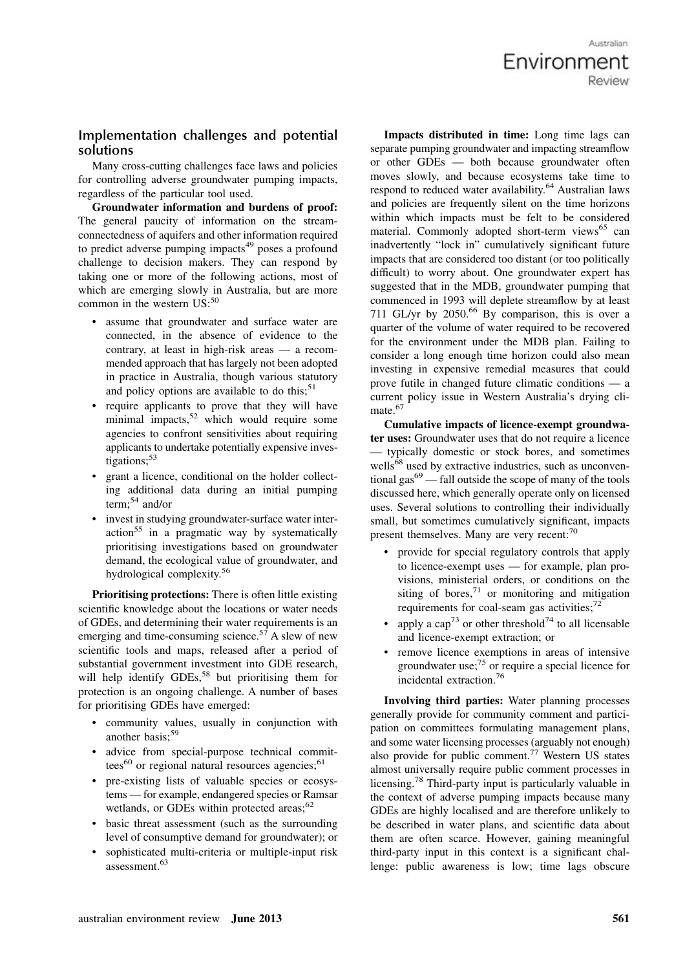Australian Environment

### **Implementation challenges and potential solutions**

Many cross-cutting challenges face laws and policies for controlling adverse groundwater pumping impacts, regardless of the particular tool used.

Groundwater information and burdens of proof: The general paucity of information on the streamconnectedness of aquifers and other information required to predict adverse pumping impacts<sup> $49$ </sup> poses a profound challenge to decision makers. They can respond by taking one or more of the following actions, most of which are emerging slowly in Australia, but are more common in the western US:<sup>50</sup>

- assume that groundwater and surface water are connected, in the absence of evidence to the contrary, at least in high-risk areas — a recommended approach that has largely not been adopted in practice in Australia, though various statutory and policy options are available to do this; $51$
- require applicants to prove that they will have minimal impacts,  $52$  which would require some agencies to confront sensitivities about requiring applicants to undertake potentially expensive investigations; $53$
- grant a licence, conditional on the holder collecting additional data during an initial pumping term;<sup>54</sup> and/or
- invest in studying groundwater-surface water inter- $\arctan^{55}$  in a pragmatic way by systematically prioritising investigations based on groundwater demand, the ecological value of groundwater, and hydrological complexity.<sup>56</sup>

Prioritising protections: There is often little existing scientific knowledge about the locations or water needs of GDEs, and determining their water requirements is an emerging and time-consuming science.<sup>57</sup> A slew of new scientific tools and maps, released after a period of substantial government investment into GDE research, will help identify GDEs,<sup>58</sup> but prioritising them for protection is an ongoing challenge. A number of bases for prioritising GDEs have emerged:

- community values, usually in conjunction with another basis:<sup>59</sup>
- advice from special-purpose technical committees $^{60}$  or regional natural resources agencies; $^{61}$
- pre-existing lists of valuable species or ecosystems — for example, endangered species or Ramsar wetlands, or GDEs within protected areas; $62$
- basic threat assessment (such as the surrounding level of consumptive demand for groundwater); or
- sophisticated multi-criteria or multiple-input risk assessment.<sup>63</sup>

Impacts distributed in time: Long time lags can separate pumping groundwater and impacting streamflow or other GDEs — both because groundwater often moves slowly, and because ecosystems take time to respond to reduced water availability.<sup>64</sup> Australian laws and policies are frequently silent on the time horizons within which impacts must be felt to be considered material. Commonly adopted short-term views<sup>65</sup> can inadvertently "lock in" cumulatively significant future impacts that are considered too distant (or too politically difficult) to worry about. One groundwater expert has suggested that in the MDB, groundwater pumping that commenced in 1993 will deplete streamflow by at least 711 GL/yr by  $2050<sup>66</sup>$  By comparison, this is over a quarter of the volume of water required to be recovered for the environment under the MDB plan. Failing to consider a long enough time horizon could also mean investing in expensive remedial measures that could prove futile in changed future climatic conditions — a current policy issue in Western Australia's drying climate.<sup>67</sup>

Cumulative impacts of licence-exempt groundwater uses: Groundwater uses that do not require a licence — typically domestic or stock bores, and sometimes wells<sup>68</sup> used by extractive industries, such as unconventional gas $^{69}$  — fall outside the scope of many of the tools discussed here, which generally operate only on licensed uses. Several solutions to controlling their individually small, but sometimes cumulatively significant, impacts present themselves. Many are very recent:<sup>70</sup>

- provide for special regulatory controls that apply to licence-exempt uses — for example, plan provisions, ministerial orders, or conditions on the siting of bores, $71$  or monitoring and mitigation requirements for coal-seam gas activities; $72$
- apply a  $\text{cap}^{73}$  or other threshold<sup>74</sup> to all licensable and licence-exempt extraction; or
- remove licence exemptions in areas of intensive groundwater use; $75$  or require a special licence for incidental extraction.<sup>76</sup>

Involving third parties: Water planning processes generally provide for community comment and participation on committees formulating management plans, and some water licensing processes (arguably not enough) also provide for public comment.<sup>77</sup> Western US states almost universally require public comment processes in licensing.<sup>78</sup> Third-party input is particularly valuable in the context of adverse pumping impacts because many GDEs are highly localised and are therefore unlikely to be described in water plans, and scientific data about them are often scarce. However, gaining meaningful third-party input in this context is a significant challenge: public awareness is low; time lags obscure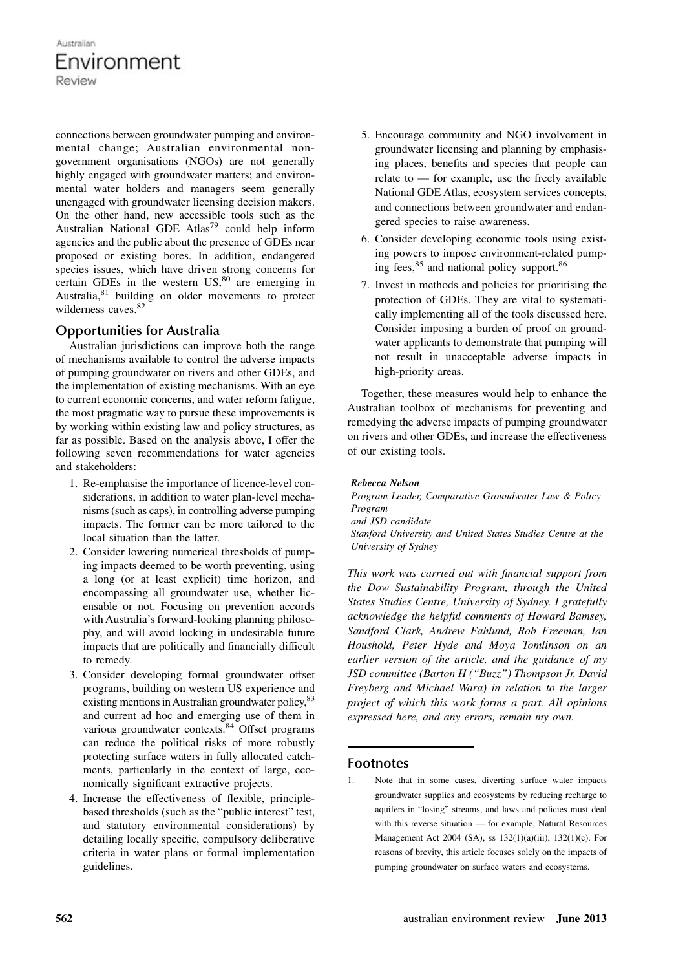connections between groundwater pumping and environmental change; Australian environmental nongovernment organisations (NGOs) are not generally highly engaged with groundwater matters; and environmental water holders and managers seem generally unengaged with groundwater licensing decision makers. On the other hand, new accessible tools such as the Australian National GDE Atlas<sup>79</sup> could help inform agencies and the public about the presence of GDEs near proposed or existing bores. In addition, endangered species issues, which have driven strong concerns for certain GDEs in the western US,<sup>80</sup> are emerging in Australia,<sup>81</sup> building on older movements to protect wilderness caves.<sup>82</sup>

# **Opportunities for Australia**

Australian jurisdictions can improve both the range of mechanisms available to control the adverse impacts of pumping groundwater on rivers and other GDEs, and the implementation of existing mechanisms. With an eye to current economic concerns, and water reform fatigue, the most pragmatic way to pursue these improvements is by working within existing law and policy structures, as far as possible. Based on the analysis above, I offer the following seven recommendations for water agencies and stakeholders:

- 1. Re-emphasise the importance of licence-level considerations, in addition to water plan-level mechanisms (such as caps), in controlling adverse pumping impacts. The former can be more tailored to the local situation than the latter.
- 2. Consider lowering numerical thresholds of pumping impacts deemed to be worth preventing, using a long (or at least explicit) time horizon, and encompassing all groundwater use, whether licensable or not. Focusing on prevention accords with Australia's forward-looking planning philosophy, and will avoid locking in undesirable future impacts that are politically and financially difficult to remedy.
- 3. Consider developing formal groundwater offset programs, building on western US experience and existing mentions in Australian groundwater policy, <sup>83</sup> and current ad hoc and emerging use of them in various groundwater contexts.<sup>84</sup> Offset programs can reduce the political risks of more robustly protecting surface waters in fully allocated catchments, particularly in the context of large, economically significant extractive projects.
- 4. Increase the effectiveness of flexible, principlebased thresholds (such as the "public interest" test, and statutory environmental considerations) by detailing locally specific, compulsory deliberative criteria in water plans or formal implementation guidelines.
- 5. Encourage community and NGO involvement in groundwater licensing and planning by emphasising places, benefits and species that people can relate to  $-$  for example, use the freely available National GDE Atlas, ecosystem services concepts, and connections between groundwater and endangered species to raise awareness.
- 6. Consider developing economic tools using existing powers to impose environment-related pumping fees, $85$  and national policy support. $86$
- 7. Invest in methods and policies for prioritising the protection of GDEs. They are vital to systematically implementing all of the tools discussed here. Consider imposing a burden of proof on groundwater applicants to demonstrate that pumping will not result in unacceptable adverse impacts in high-priority areas.

Together, these measures would help to enhance the Australian toolbox of mechanisms for preventing and remedying the adverse impacts of pumping groundwater on rivers and other GDEs, and increase the effectiveness of our existing tools.

#### Rebecca Nelson

Program Leader, Comparative Groundwater Law & Policy Program and JSD candidate Stanford University and United States Studies Centre at the University of Sydney

This work was carried out with financial support from the Dow Sustainability Program, through the United States Studies Centre, University of Sydney. I gratefully acknowledge the helpful comments of Howard Bamsey, Sandford Clark, Andrew Fahlund, Rob Freeman, Ian Houshold, Peter Hyde and Moya Tomlinson on an earlier version of the article, and the guidance of my JSD committee (Barton H ("Buzz") Thompson Jr, David Freyberg and Michael Wara) in relation to the larger project of which this work forms a part. All opinions expressed here, and any errors, remain my own.

### **Footnotes**

1. Note that in some cases, diverting surface water impacts groundwater supplies and ecosystems by reducing recharge to aquifers in "losing" streams, and laws and policies must deal with this reverse situation — for example, Natural Resources Management Act 2004 (SA), ss 132(1)(a)(iii), 132(1)(c). For reasons of brevity, this article focuses solely on the impacts of pumping groundwater on surface waters and ecosystems.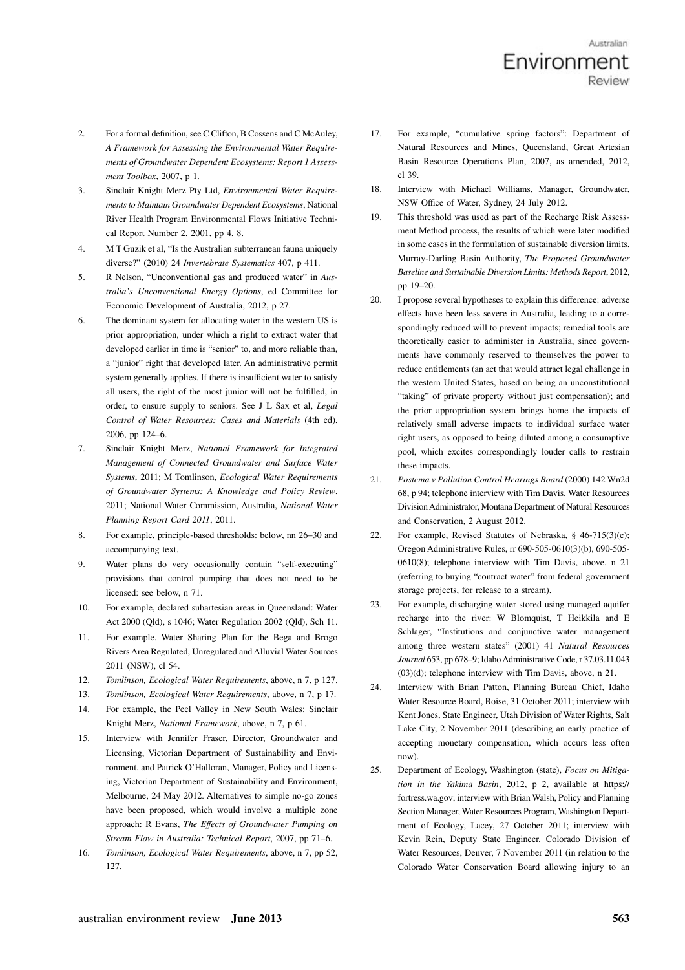- 2. For a formal definition, see C Clifton, B Cossens and C McAuley, A Framework for Assessing the Environmental Water Requirements of Groundwater Dependent Ecosystems: Report 1 Assessment Toolbox, 2007, p 1.
- 3. Sinclair Knight Merz Pty Ltd, Environmental Water Requirements to Maintain Groundwater Dependent Ecosystems, National River Health Program Environmental Flows Initiative Technical Report Number 2, 2001, pp 4, 8.
- 4. M T Guzik et al, "Is the Australian subterranean fauna uniquely diverse?" (2010) 24 Invertebrate Systematics 407, p 411.
- 5. R Nelson, "Unconventional gas and produced water" in Australia's Unconventional Energy Options, ed Committee for Economic Development of Australia, 2012, p 27.
- 6. The dominant system for allocating water in the western US is prior appropriation, under which a right to extract water that developed earlier in time is "senior" to, and more reliable than, a "junior" right that developed later. An administrative permit system generally applies. If there is insufficient water to satisfy all users, the right of the most junior will not be fulfilled, in order, to ensure supply to seniors. See J L Sax et al, Legal Control of Water Resources: Cases and Materials (4th ed), 2006, pp 124–6.
- 7. Sinclair Knight Merz, National Framework for Integrated Management of Connected Groundwater and Surface Water Systems, 2011; M Tomlinson, Ecological Water Requirements of Groundwater Systems: A Knowledge and Policy Review, 2011; National Water Commission, Australia, National Water Planning Report Card 2011, 2011.
- 8. For example, principle-based thresholds: below, nn 26–30 and accompanying text.
- 9. Water plans do very occasionally contain "self-executing" provisions that control pumping that does not need to be licensed: see below, n 71.
- 10. For example, declared subartesian areas in Queensland: Water Act 2000 (Qld), s 1046; Water Regulation 2002 (Qld), Sch 11.
- 11. For example, Water Sharing Plan for the Bega and Brogo Rivers Area Regulated, Unregulated and Alluvial Water Sources 2011 (NSW), cl 54.
- 12. Tomlinson, Ecological Water Requirements, above, n 7, p 127.
- 13. Tomlinson, Ecological Water Requirements, above, n 7, p 17.
- 14. For example, the Peel Valley in New South Wales: Sinclair Knight Merz, National Framework, above, n 7, p 61.
- 15. Interview with Jennifer Fraser, Director, Groundwater and Licensing, Victorian Department of Sustainability and Environment, and Patrick O'Halloran, Manager, Policy and Licensing, Victorian Department of Sustainability and Environment, Melbourne, 24 May 2012. Alternatives to simple no-go zones have been proposed, which would involve a multiple zone approach: R Evans, The Effects of Groundwater Pumping on Stream Flow in Australia: Technical Report, 2007, pp 71–6.
- 16. Tomlinson, Ecological Water Requirements, above, n 7, pp 52, 127.
- 17. For example, "cumulative spring factors": Department of Natural Resources and Mines, Queensland, Great Artesian Basin Resource Operations Plan, 2007, as amended, 2012, cl 39.
- 18. Interview with Michael Williams, Manager, Groundwater, NSW Office of Water, Sydney, 24 July 2012.
- 19. This threshold was used as part of the Recharge Risk Assessment Method process, the results of which were later modified in some cases in the formulation of sustainable diversion limits. Murray-Darling Basin Authority, The Proposed Groundwater Baseline and Sustainable Diversion Limits: Methods Report, 2012, pp 19–20.
- 20. I propose several hypotheses to explain this difference: adverse effects have been less severe in Australia, leading to a correspondingly reduced will to prevent impacts; remedial tools are theoretically easier to administer in Australia, since governments have commonly reserved to themselves the power to reduce entitlements (an act that would attract legal challenge in the western United States, based on being an unconstitutional "taking" of private property without just compensation); and the prior appropriation system brings home the impacts of relatively small adverse impacts to individual surface water right users, as opposed to being diluted among a consumptive pool, which excites correspondingly louder calls to restrain these impacts.
- 21. Postema v Pollution Control Hearings Board (2000) 142 Wn2d 68, p 94; telephone interview with Tim Davis, Water Resources DivisionAdministrator, Montana Department of Natural Resources and Conservation, 2 August 2012.
- 22. For example, Revised Statutes of Nebraska, § 46-715(3)(e); Oregon Administrative Rules, rr 690-505-0610(3)(b), 690-505- 0610(8); telephone interview with Tim Davis, above, n 21 (referring to buying "contract water" from federal government storage projects, for release to a stream).
- 23. For example, discharging water stored using managed aquifer recharge into the river: W Blomquist, T Heikkila and E Schlager, "Institutions and conjunctive water management among three western states" (2001) 41 Natural Resources Journal 653, pp 678–9; Idaho Administrative Code, r 37.03.11.043 (03)(d); telephone interview with Tim Davis, above, n 21.
- 24. Interview with Brian Patton, Planning Bureau Chief, Idaho Water Resource Board, Boise, 31 October 2011; interview with Kent Jones, State Engineer, Utah Division of Water Rights, Salt Lake City, 2 November 2011 (describing an early practice of accepting monetary compensation, which occurs less often now).
- 25. Department of Ecology, Washington (state), Focus on Mitigation in the Yakima Basin, 2012, p 2, available at https:// fortress.wa.gov; interview with Brian Walsh, Policy and Planning Section Manager, Water Resources Program, Washington Department of Ecology, Lacey, 27 October 2011; interview with Kevin Rein, Deputy State Engineer, Colorado Division of Water Resources, Denver, 7 November 2011 (in relation to the Colorado Water Conservation Board allowing injury to an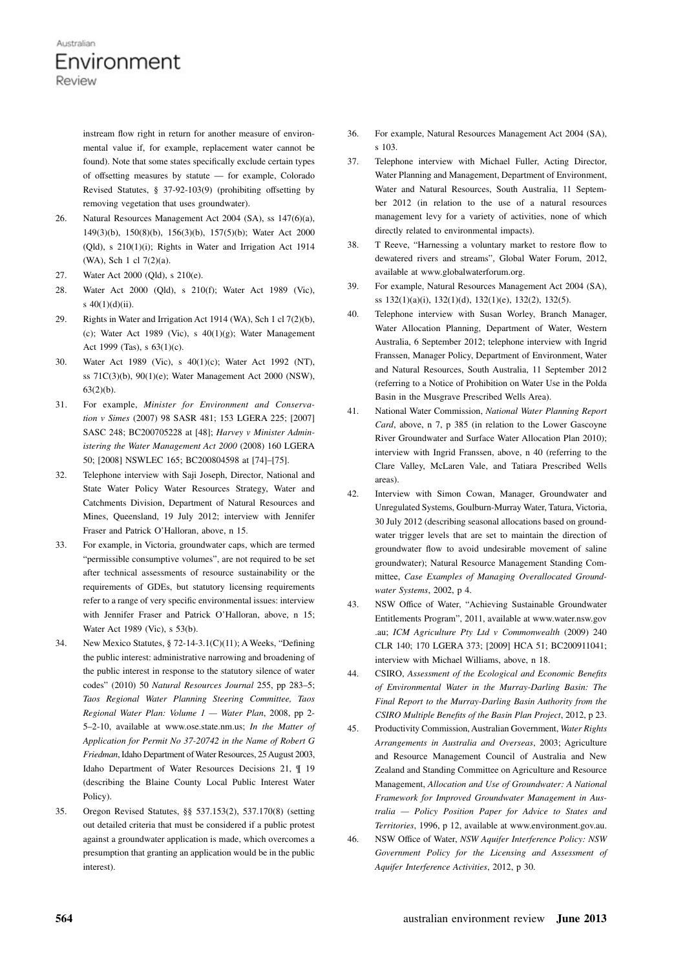instream flow right in return for another measure of environmental value if, for example, replacement water cannot be found). Note that some states specifically exclude certain types of offsetting measures by statute — for example, Colorado Revised Statutes, § 37-92-103(9) (prohibiting offsetting by removing vegetation that uses groundwater).

- 26. Natural Resources Management Act 2004 (SA), ss 147(6)(a), 149(3)(b), 150(8)(b), 156(3)(b), 157(5)(b); Water Act 2000 (Qld), s 210(1)(i); Rights in Water and Irrigation Act 1914 (WA), Sch 1 cl 7(2)(a).
- 27. Water Act 2000 (Qld), s 210(e).
- 28. Water Act 2000 (Qld), s 210(f); Water Act 1989 (Vic), s 40(1)(d)(ii).
- 29. Rights in Water and Irrigation Act 1914 (WA), Sch 1 cl 7(2)(b), (c); Water Act 1989 (Vic), s  $40(1)(g)$ ; Water Management Act 1999 (Tas), s 63(1)(c).
- 30. Water Act 1989 (Vic), s 40(1)(c); Water Act 1992 (NT), ss 71C(3)(b), 90(1)(e); Water Management Act 2000 (NSW), 63(2)(b).
- 31. For example, Minister for Environment and Conservation v Simes (2007) 98 SASR 481; 153 LGERA 225; [2007] SASC 248; BC200705228 at [48]; Harvey v Minister Administering the Water Management Act 2000 (2008) 160 LGERA 50; [2008] NSWLEC 165; BC200804598 at [74]–[75].
- 32. Telephone interview with Saji Joseph, Director, National and State Water Policy Water Resources Strategy, Water and Catchments Division, Department of Natural Resources and Mines, Queensland, 19 July 2012; interview with Jennifer Fraser and Patrick O'Halloran, above, n 15.
- 33. For example, in Victoria, groundwater caps, which are termed "permissible consumptive volumes", are not required to be set after technical assessments of resource sustainability or the requirements of GDEs, but statutory licensing requirements refer to a range of very specific environmental issues: interview with Jennifer Fraser and Patrick O'Halloran, above, n 15; Water Act 1989 (Vic), s 53(b).
- 34. New Mexico Statutes, § 72-14-3.1(C)(11); A Weeks, "Defining the public interest: administrative narrowing and broadening of the public interest in response to the statutory silence of water codes" (2010) 50 Natural Resources Journal 255, pp 283–5; Taos Regional Water Planning Steering Committee, Taos Regional Water Plan: Volume  $1 -$  Water Plan, 2008, pp 2-5–2-10, available at www.ose.state.nm.us; In the Matter of Application for Permit No 37-20742 in the Name of Robert G Friedman, Idaho Department of Water Resources, 25 August 2003, Idaho Department of Water Resources Decisions 21, ¶ 19 (describing the Blaine County Local Public Interest Water Policy).
- 35. Oregon Revised Statutes, §§ 537.153(2), 537.170(8) (setting out detailed criteria that must be considered if a public protest against a groundwater application is made, which overcomes a presumption that granting an application would be in the public interest).
- 36. For example, Natural Resources Management Act 2004 (SA), s 103.
- 37. Telephone interview with Michael Fuller, Acting Director, Water Planning and Management, Department of Environment, Water and Natural Resources, South Australia, 11 September 2012 (in relation to the use of a natural resources management levy for a variety of activities, none of which directly related to environmental impacts).
- 38. T Reeve, "Harnessing a voluntary market to restore flow to dewatered rivers and streams", Global Water Forum, 2012, available at www.globalwaterforum.org.
- 39. For example, Natural Resources Management Act 2004 (SA), ss 132(1)(a)(i), 132(1)(d), 132(1)(e), 132(2), 132(5).
- 40. Telephone interview with Susan Worley, Branch Manager, Water Allocation Planning, Department of Water, Western Australia, 6 September 2012; telephone interview with Ingrid Franssen, Manager Policy, Department of Environment, Water and Natural Resources, South Australia, 11 September 2012 (referring to a Notice of Prohibition on Water Use in the Polda Basin in the Musgrave Prescribed Wells Area).
- 41. National Water Commission, National Water Planning Report Card, above, n 7, p 385 (in relation to the Lower Gascoyne River Groundwater and Surface Water Allocation Plan 2010); interview with Ingrid Franssen, above, n 40 (referring to the Clare Valley, McLaren Vale, and Tatiara Prescribed Wells areas).
- 42. Interview with Simon Cowan, Manager, Groundwater and Unregulated Systems, Goulburn-Murray Water, Tatura, Victoria, 30 July 2012 (describing seasonal allocations based on groundwater trigger levels that are set to maintain the direction of groundwater flow to avoid undesirable movement of saline groundwater); Natural Resource Management Standing Committee, Case Examples of Managing Overallocated Groundwater Systems, 2002, p 4.
- 43. NSW Office of Water, "Achieving Sustainable Groundwater Entitlements Program", 2011, available at www.water.nsw.gov .au; ICM Agriculture Pty Ltd v Commonwealth (2009) 240 CLR 140; 170 LGERA 373; [2009] HCA 51; BC200911041; interview with Michael Williams, above, n 18.
- 44. CSIRO, Assessment of the Ecological and Economic Benefits of Environmental Water in the Murray-Darling Basin: The Final Report to the Murray-Darling Basin Authority from the CSIRO Multiple Benefits of the Basin Plan Project, 2012, p 23.
- 45. Productivity Commission, Australian Government, Water Rights Arrangements in Australia and Overseas, 2003; Agriculture and Resource Management Council of Australia and New Zealand and Standing Committee on Agriculture and Resource Management, Allocation and Use of Groundwater: A National Framework for Improved Groundwater Management in Australia — Policy Position Paper for Advice to States and Territories, 1996, p 12, available at www.environment.gov.au.
- 46. NSW Office of Water, NSW Aquifer Interference Policy: NSW Government Policy for the Licensing and Assessment of Aquifer Interference Activities, 2012, p 30.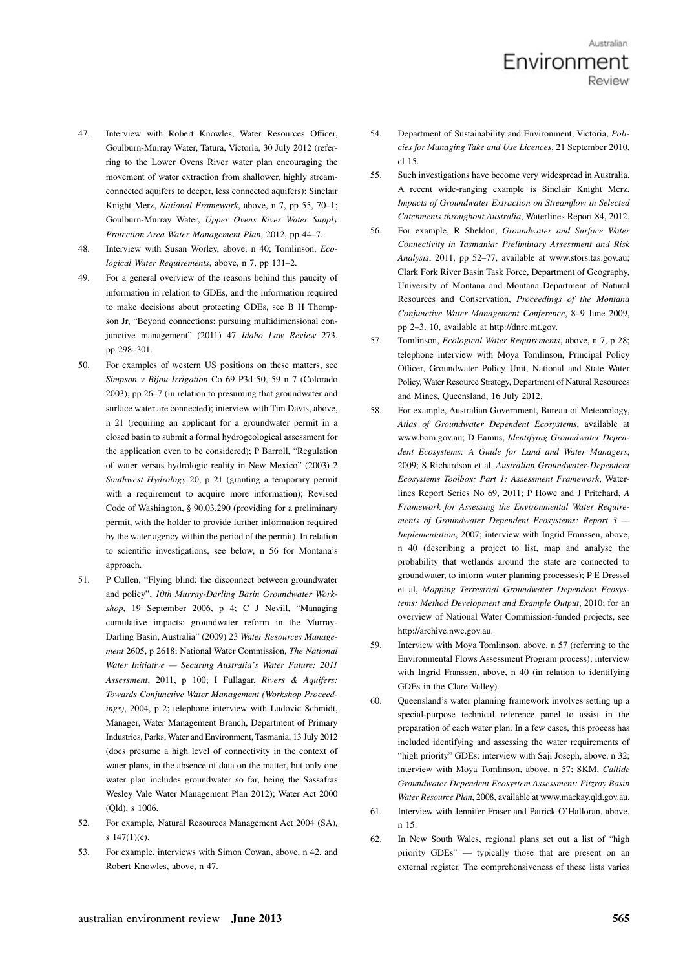- 47. Interview with Robert Knowles, Water Resources Officer, Goulburn-Murray Water, Tatura, Victoria, 30 July 2012 (referring to the Lower Ovens River water plan encouraging the movement of water extraction from shallower, highly streamconnected aquifers to deeper, less connected aquifers); Sinclair Knight Merz, National Framework, above, n 7, pp 55, 70–1; Goulburn-Murray Water, Upper Ovens River Water Supply Protection Area Water Management Plan, 2012, pp 44–7.
- 48. Interview with Susan Worley, above, n 40; Tomlinson, Ecological Water Requirements, above, n 7, pp 131–2.
- 49. For a general overview of the reasons behind this paucity of information in relation to GDEs, and the information required to make decisions about protecting GDEs, see B H Thompson Jr, "Beyond connections: pursuing multidimensional conjunctive management" (2011) 47 Idaho Law Review 273, pp 298–301.
- 50. For examples of western US positions on these matters, see Simpson v Bijou Irrigation Co 69 P3d 50, 59 n 7 (Colorado 2003), pp 26–7 (in relation to presuming that groundwater and surface water are connected); interview with Tim Davis, above, n 21 (requiring an applicant for a groundwater permit in a closed basin to submit a formal hydrogeological assessment for the application even to be considered); P Barroll, "Regulation of water versus hydrologic reality in New Mexico" (2003) 2 Southwest Hydrology 20, p 21 (granting a temporary permit with a requirement to acquire more information); Revised Code of Washington, § 90.03.290 (providing for a preliminary permit, with the holder to provide further information required by the water agency within the period of the permit). In relation to scientific investigations, see below, n 56 for Montana's approach.
- 51. P Cullen, "Flying blind: the disconnect between groundwater and policy", 10th Murray-Darling Basin Groundwater Workshop, 19 September 2006, p 4; C J Nevill, "Managing cumulative impacts: groundwater reform in the Murray-Darling Basin, Australia" (2009) 23 Water Resources Management 2605, p 2618; National Water Commission, The National Water Initiative — Securing Australia's Water Future: 2011 Assessment, 2011, p 100; I Fullagar, Rivers & Aquifers: Towards Conjunctive Water Management (Workshop Proceedings), 2004, p 2; telephone interview with Ludovic Schmidt, Manager, Water Management Branch, Department of Primary Industries, Parks, Water and Environment, Tasmania, 13 July 2012 (does presume a high level of connectivity in the context of water plans, in the absence of data on the matter, but only one water plan includes groundwater so far, being the Sassafras Wesley Vale Water Management Plan 2012); Water Act 2000 (Qld), s 1006.
- 52. For example, Natural Resources Management Act 2004 (SA), s 147(1)(c).
- 53. For example, interviews with Simon Cowan, above, n 42, and Robert Knowles, above, n 47.
- 54. Department of Sustainability and Environment, Victoria, *Poli*cies for Managing Take and Use Licences, 21 September 2010, cl 15.
- 55. Such investigations have become very widespread in Australia. A recent wide-ranging example is Sinclair Knight Merz, Impacts of Groundwater Extraction on Streamflow in Selected Catchments throughout Australia, Waterlines Report 84, 2012.
- 56. For example, R Sheldon, Groundwater and Surface Water Connectivity in Tasmania: Preliminary Assessment and Risk Analysis, 2011, pp 52–77, available at www.stors.tas.gov.au; Clark Fork River Basin Task Force, Department of Geography, University of Montana and Montana Department of Natural Resources and Conservation, Proceedings of the Montana Conjunctive Water Management Conference, 8–9 June 2009, pp 2–3, 10, available at http://dnrc.mt.gov.
- 57. Tomlinson, Ecological Water Requirements, above, n 7, p 28; telephone interview with Moya Tomlinson, Principal Policy Officer, Groundwater Policy Unit, National and State Water Policy, Water Resource Strategy, Department of Natural Resources and Mines, Queensland, 16 July 2012.
- 58. For example, Australian Government, Bureau of Meteorology, Atlas of Groundwater Dependent Ecosystems, available at www.bom.gov.au; D Eamus, Identifying Groundwater Dependent Ecosystems: A Guide for Land and Water Managers, 2009; S Richardson et al, Australian Groundwater-Dependent Ecosystems Toolbox: Part 1: Assessment Framework, Waterlines Report Series No 69, 2011; P Howe and J Pritchard, A Framework for Assessing the Environmental Water Requirements of Groundwater Dependent Ecosystems: Report 3 — Implementation, 2007; interview with Ingrid Franssen, above, n 40 (describing a project to list, map and analyse the probability that wetlands around the state are connected to groundwater, to inform water planning processes); P E Dressel et al, Mapping Terrestrial Groundwater Dependent Ecosystems: Method Development and Example Output, 2010; for an overview of National Water Commission-funded projects, see http://archive.nwc.gov.au.
- 59. Interview with Moya Tomlinson, above, n 57 (referring to the Environmental Flows Assessment Program process); interview with Ingrid Franssen, above, n 40 (in relation to identifying GDEs in the Clare Valley).
- 60. Queensland's water planning framework involves setting up a special-purpose technical reference panel to assist in the preparation of each water plan. In a few cases, this process has included identifying and assessing the water requirements of "high priority" GDEs: interview with Saji Joseph, above, n 32; interview with Moya Tomlinson, above, n 57; SKM, Callide Groundwater Dependent Ecosystem Assessment: Fitzroy Basin Water Resource Plan, 2008, available at www.mackay.qld.gov.au.
- 61. Interview with Jennifer Fraser and Patrick O'Halloran, above, n 15.
- 62. In New South Wales, regional plans set out a list of "high priority GDEs" — typically those that are present on an external register. The comprehensiveness of these lists varies